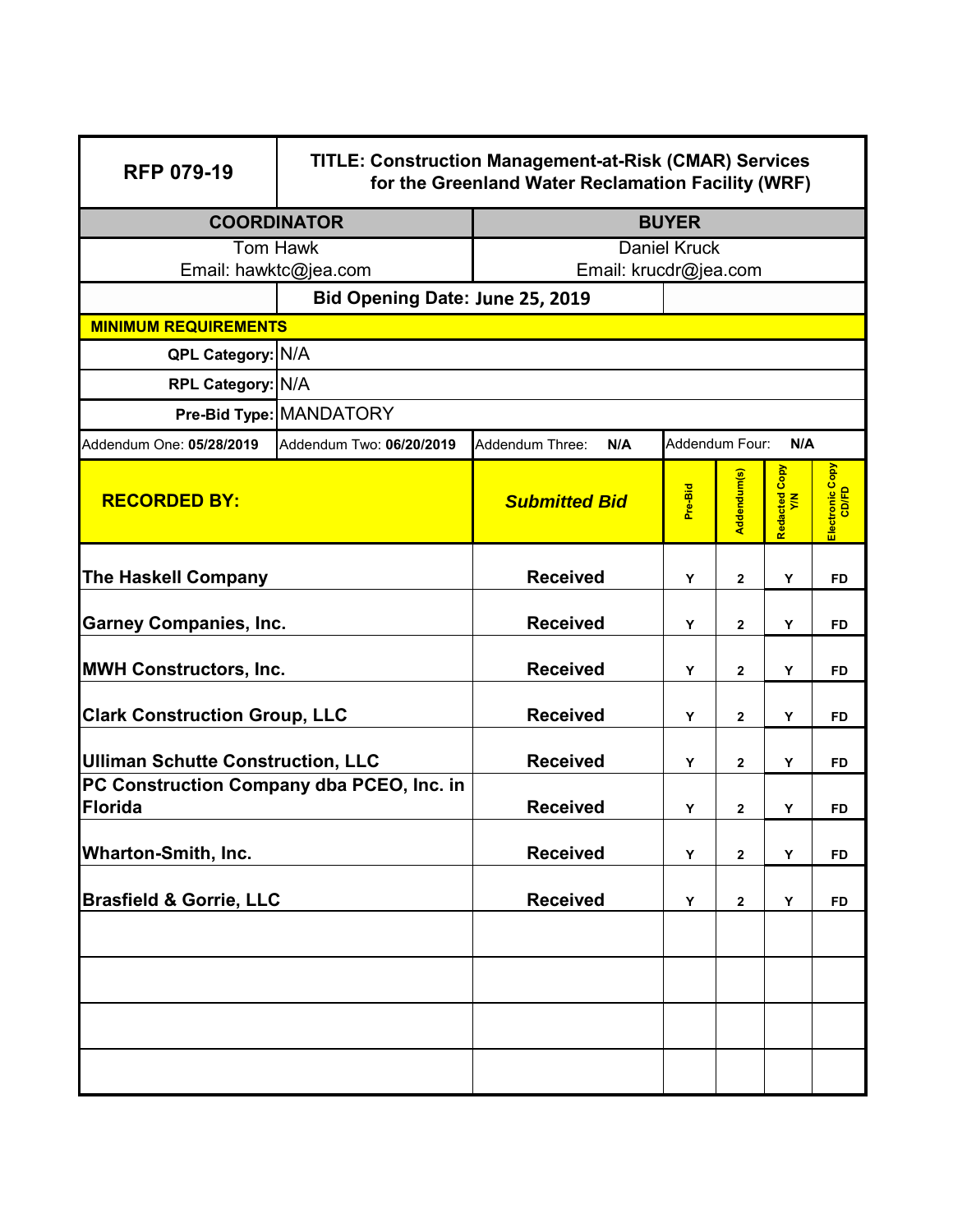| <b>RFP 079-19</b>                                           | <b>TITLE: Construction Management-at-Risk (CMAR) Services</b><br>for the Greenland Water Reclamation Facility (WRF) |                        |                |                |                     |                          |  |
|-------------------------------------------------------------|---------------------------------------------------------------------------------------------------------------------|------------------------|----------------|----------------|---------------------|--------------------------|--|
| <b>COORDINATOR</b>                                          |                                                                                                                     | <b>BUYER</b>           |                |                |                     |                          |  |
| Tom Hawk                                                    |                                                                                                                     | Daniel Kruck           |                |                |                     |                          |  |
| Email: hawktc@jea.com                                       |                                                                                                                     | Email: krucdr@jea.com  |                |                |                     |                          |  |
|                                                             | Bid Opening Date: June 25, 2019                                                                                     |                        |                |                |                     |                          |  |
|                                                             | <b>MINIMUM REQUIREMENTS</b>                                                                                         |                        |                |                |                     |                          |  |
|                                                             | <b>QPL Category: N/A</b>                                                                                            |                        |                |                |                     |                          |  |
| RPL Category: N/A                                           |                                                                                                                     |                        |                |                |                     |                          |  |
|                                                             | Pre-Bid Type: MANDATORY                                                                                             |                        |                |                |                     |                          |  |
| Addendum One: 05/28/2019                                    | Addendum Two: 06/20/2019                                                                                            | Addendum Three:<br>N/A | Addendum Four: |                | N/A                 |                          |  |
| <b>RECORDED BY:</b>                                         |                                                                                                                     | <b>Submitted Bid</b>   | Pre-Bid        | Addendum(s)    | Redacted Copy<br>YM | Electronic Copy<br>CD/FD |  |
| The Haskell Company                                         |                                                                                                                     | <b>Received</b>        | Y              | $\overline{2}$ | Υ                   | <b>FD</b>                |  |
| <b>Garney Companies, Inc.</b>                               |                                                                                                                     | <b>Received</b>        | Y              | $\mathbf{2}$   | Y                   | FD.                      |  |
| <b>MWH Constructors, Inc.</b>                               |                                                                                                                     | <b>Received</b>        | Y              | $\overline{2}$ | Y                   | <b>FD</b>                |  |
| <b>Clark Construction Group, LLC</b>                        |                                                                                                                     | <b>Received</b>        | Y              | $\mathbf{2}$   | Y                   | <b>FD</b>                |  |
| <b>Ulliman Schutte Construction, LLC</b>                    |                                                                                                                     | <b>Received</b>        | Y              | 2              | Y                   | <b>FD</b>                |  |
| PC Construction Company dba PCEO, Inc. in<br><b>Florida</b> |                                                                                                                     | <b>Received</b>        | Υ              | 2              | Υ                   | <b>FD</b>                |  |
| <b>Wharton-Smith, Inc.</b>                                  |                                                                                                                     | <b>Received</b>        | Y              | 2              | Y                   | <b>FD</b>                |  |
| <b>Brasfield &amp; Gorrie, LLC</b>                          |                                                                                                                     | <b>Received</b>        | Y              | 2              | Υ                   | <b>FD</b>                |  |
|                                                             |                                                                                                                     |                        |                |                |                     |                          |  |
|                                                             |                                                                                                                     |                        |                |                |                     |                          |  |
|                                                             |                                                                                                                     |                        |                |                |                     |                          |  |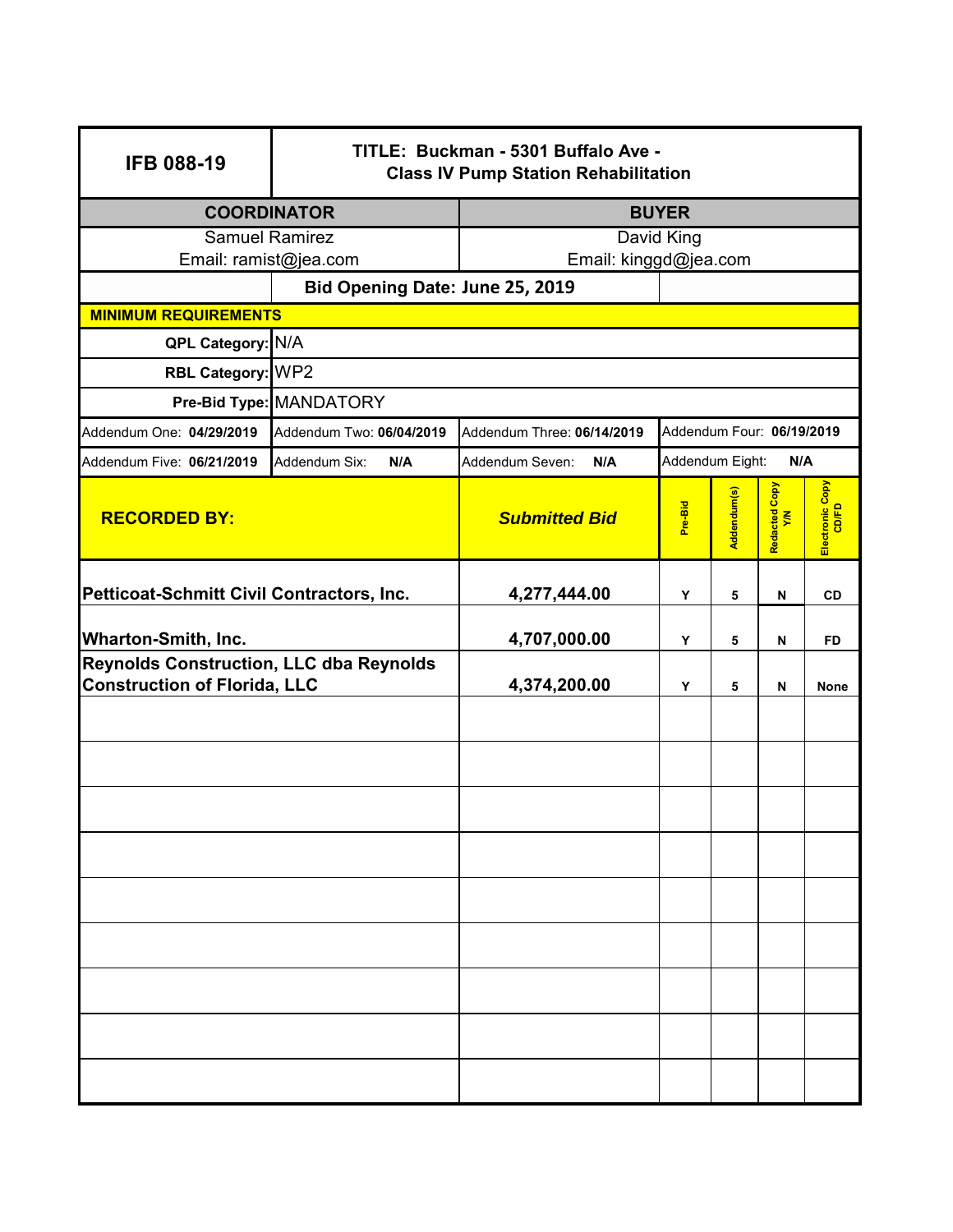| <b>IFB 088-19</b>                              | TITLE: Buckman - 5301 Buffalo Ave -<br><b>Class IV Pump Station Rehabilitation</b> |                                                         |                        |             |                      |                          |
|------------------------------------------------|------------------------------------------------------------------------------------|---------------------------------------------------------|------------------------|-------------|----------------------|--------------------------|
| <b>COORDINATOR</b>                             |                                                                                    | <b>BUYER</b>                                            |                        |             |                      |                          |
| <b>Samuel Ramirez</b>                          |                                                                                    | David King<br>Email: kinggd@jea.com                     |                        |             |                      |                          |
|                                                | Email: ramist@jea.com<br>Bid Opening Date: June 25, 2019                           |                                                         |                        |             |                      |                          |
| <b>MINIMUM REQUIREMENTS</b>                    |                                                                                    |                                                         |                        |             |                      |                          |
| QPL Category: N/A                              |                                                                                    |                                                         |                        |             |                      |                          |
| RBL Category: WP2                              |                                                                                    |                                                         |                        |             |                      |                          |
|                                                | Pre-Bid Type: MANDATORY                                                            |                                                         |                        |             |                      |                          |
| Addendum One: 04/29/2019                       | Addendum Two: 06/04/2019                                                           | Addendum Three: 06/14/2019<br>Addendum Four: 06/19/2019 |                        |             |                      |                          |
| Addendum Five: 06/21/2019                      | Addendum Six:<br>N/A                                                               | Addendum Seven:<br>N/A                                  | Addendum Eight:<br>N/A |             |                      |                          |
| <b>RECORDED BY:</b>                            |                                                                                    | <b>Submitted Bid</b>                                    | Pre-Bid                | Addendum(s) | Redacted Copy<br>Y/N | Electronic Copy<br>CD/FD |
| Petticoat-Schmitt Civil Contractors, Inc.      |                                                                                    | 4,277,444.00                                            | Υ                      | 5           | N                    | <b>CD</b>                |
| <b>Wharton-Smith, Inc.</b>                     |                                                                                    | 4,707,000.00                                            | Y                      | 5           | N                    | <b>FD</b>                |
| <b>Reynolds Construction, LLC dba Reynolds</b> |                                                                                    |                                                         |                        |             |                      |                          |
| <b>Construction of Florida, LLC</b>            |                                                                                    | 4,374,200.00                                            | Υ                      | 5           | N                    | <b>None</b>              |
|                                                |                                                                                    |                                                         |                        |             |                      |                          |
|                                                |                                                                                    |                                                         |                        |             |                      |                          |
|                                                |                                                                                    |                                                         |                        |             |                      |                          |
|                                                |                                                                                    |                                                         |                        |             |                      |                          |
|                                                |                                                                                    |                                                         |                        |             |                      |                          |
|                                                |                                                                                    |                                                         |                        |             |                      |                          |
|                                                |                                                                                    |                                                         |                        |             |                      |                          |
|                                                |                                                                                    |                                                         |                        |             |                      |                          |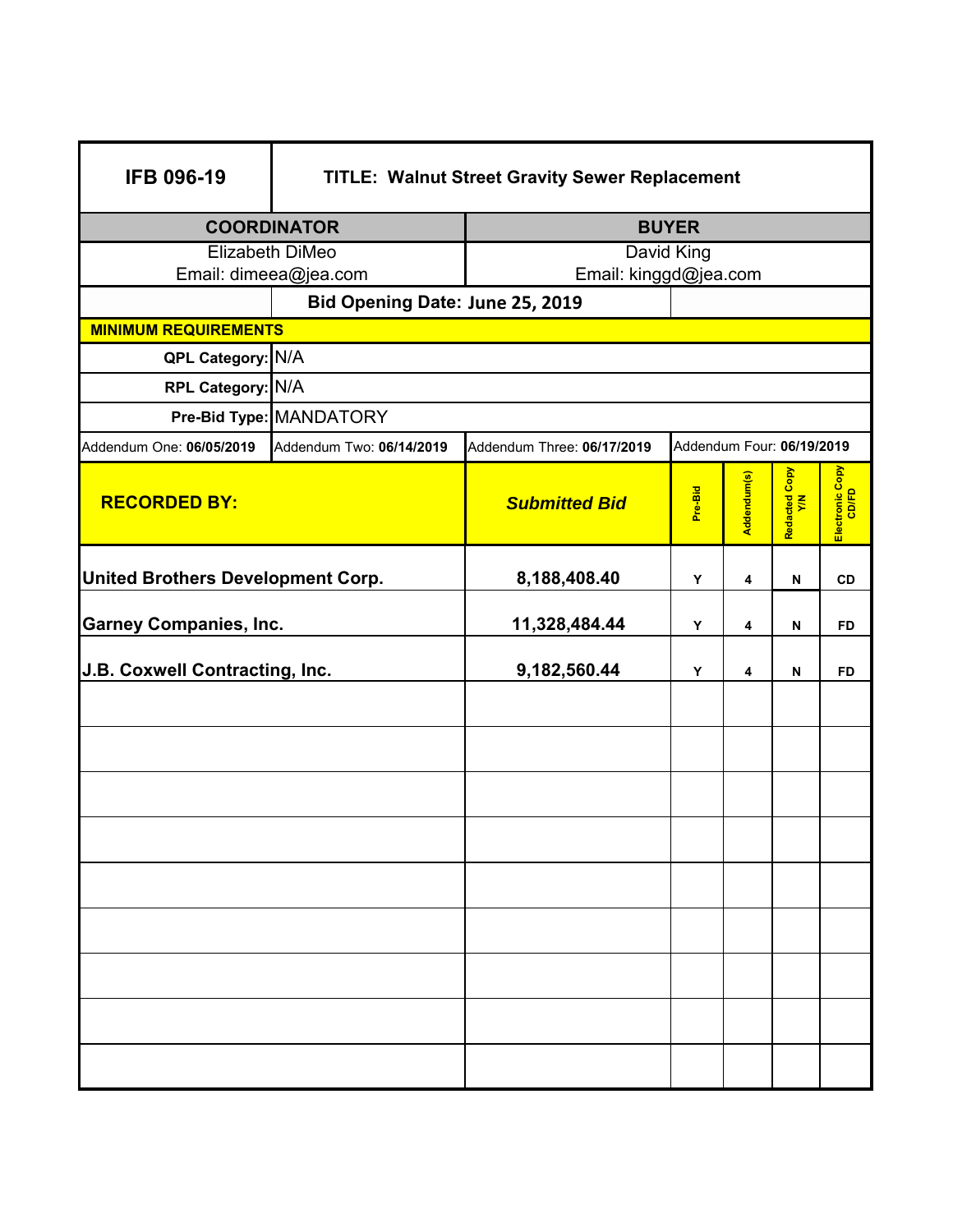| <b>IFB 096-19</b>                 | <b>TITLE: Walnut Street Gravity Sewer Replacement</b>                               |                       |         |             |                      |                          |
|-----------------------------------|-------------------------------------------------------------------------------------|-----------------------|---------|-------------|----------------------|--------------------------|
| <b>COORDINATOR</b>                |                                                                                     | <b>BUYER</b>          |         |             |                      |                          |
| Elizabeth DiMeo                   |                                                                                     | David King            |         |             |                      |                          |
|                                   | Email: dimeea@jea.com                                                               | Email: kinggd@jea.com |         |             |                      |                          |
|                                   | Bid Opening Date: June 25, 2019                                                     |                       |         |             |                      |                          |
| <b>MINIMUM REQUIREMENTS</b>       |                                                                                     |                       |         |             |                      |                          |
| QPL Category: N/A                 |                                                                                     |                       |         |             |                      |                          |
| RPL Category: N/A                 |                                                                                     |                       |         |             |                      |                          |
|                                   | Pre-Bid Type: MANDATORY                                                             |                       |         |             |                      |                          |
| Addendum One: 06/05/2019          | Addendum Four: 06/19/2019<br>Addendum Two: 06/14/2019<br>Addendum Three: 06/17/2019 |                       |         |             |                      |                          |
| <b>RECORDED BY:</b>               |                                                                                     | <b>Submitted Bid</b>  | Pre-Bid | Addendum(s) | Redacted Copy<br>Y/N | Electronic Copy<br>CD/FD |
| United Brothers Development Corp. |                                                                                     | 8,188,408.40          | Υ       | 4           | N                    | <b>CD</b>                |
| <b>Garney Companies, Inc.</b>     |                                                                                     | 11,328,484.44         | Υ       | 4           | N                    | <b>FD</b>                |
| J.B. Coxwell Contracting, Inc.    |                                                                                     | 9,182,560.44          | Υ       | 4           | N                    | <b>FD</b>                |
|                                   |                                                                                     |                       |         |             |                      |                          |
|                                   |                                                                                     |                       |         |             |                      |                          |
|                                   |                                                                                     |                       |         |             |                      |                          |
|                                   |                                                                                     |                       |         |             |                      |                          |
|                                   |                                                                                     |                       |         |             |                      |                          |
|                                   |                                                                                     |                       |         |             |                      |                          |
|                                   |                                                                                     |                       |         |             |                      |                          |
|                                   |                                                                                     |                       |         |             |                      |                          |
|                                   |                                                                                     |                       |         |             |                      |                          |